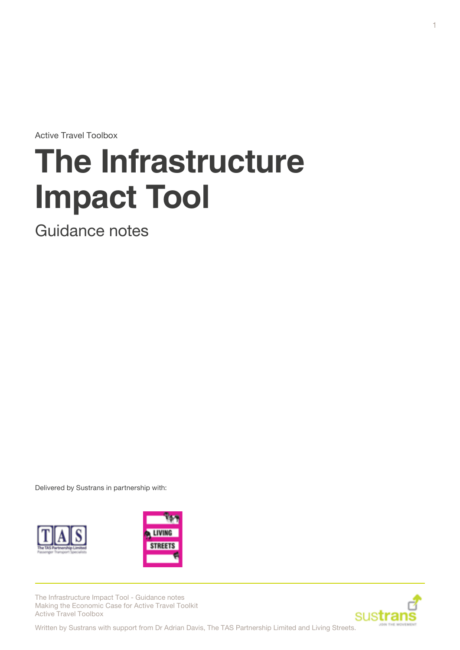Active Travel Toolbox

# **The Infrastructure Impact Tool**

Guidance notes

Delivered by Sustrans in partnership with:





The Infrastructure Impact Tool - Guidance notes Making the Economic Case for Active Travel Toolkit Active Travel Toolbox

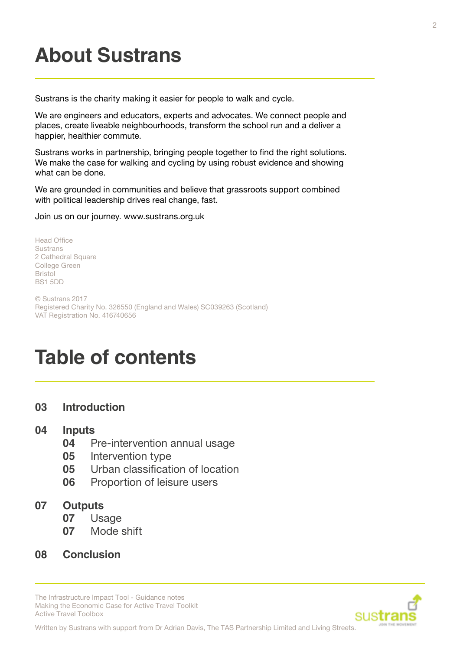# **About Sustrans**

Sustrans is the charity making it easier for people to walk and cycle.

We are engineers and educators, experts and advocates. We connect people and places, create liveable neighbourhoods, transform the school run and a deliver a happier, healthier commute.

Sustrans works in partnership, bringing people together to find the right solutions. We make the case for walking and cycling by using robust evidence and showing what can be done.

We are grounded in communities and believe that grassroots support combined with political leadership drives real change, fast.

Join us on our journey. www.sustrans.org.uk

Head Office **Sustrans** 2 Cathedral Square College Green Bristol BS1 5DD

© Sustrans 2017 Registered Charity No. 326550 (England and Wales) SC039263 (Scotland) VAT Registration No. 416740656

## **Table of contents**

**03 [Introduction](#page-2-0)**

#### **04 [Inputs](#page-3-0)**

- **04** [Pre-intervention annual usage](#page-3-0)
- **05** [Intervention type](#page-4-0)
- **05** [Urban classification of location](#page-4-0)
- **06** [Proportion of leisure users](#page-5-0)

#### **07 [Outputs](#page-6-0)**

- **07** [Usage](#page-6-0)
- **07** [Mode shift](#page-6-0)
- **08 [Conclusion](#page-7-0)**

The Infrastructure Impact Tool - Guidance notes Making the Economic Case for Active Travel Toolkit Active Travel Toolbox



Written by Sustrans with support from Dr Adrian Davis, The TAS Partnership Limited and Living Streets.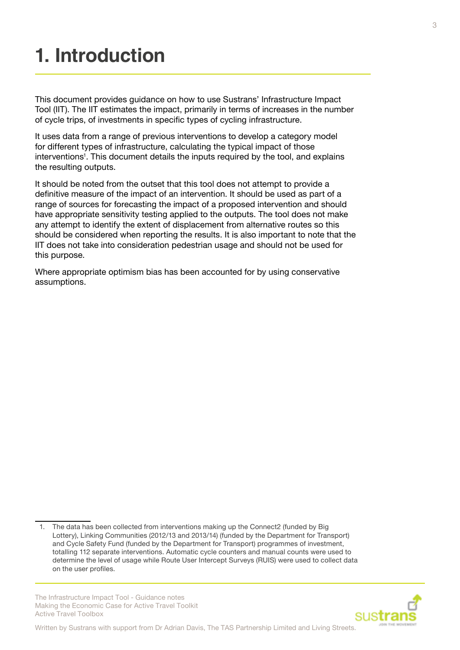# <span id="page-2-0"></span>**1. Introduction**

This document provides guidance on how to use Sustrans' Infrastructure Impact Tool (IIT). The IIT estimates the impact, primarily in terms of increases in the number of cycle trips, of investments in specific types of cycling infrastructure.

It uses data from a range of previous interventions to develop a category model for different types of infrastructure, calculating the typical impact of those interventions<sup>1</sup>. This document details the inputs required by the tool, and explains the resulting outputs.

It should be noted from the outset that this tool does not attempt to provide a definitive measure of the impact of an intervention. It should be used as part of a range of sources for forecasting the impact of a proposed intervention and should have appropriate sensitivity testing applied to the outputs. The tool does not make any attempt to identify the extent of displacement from alternative routes so this should be considered when reporting the results. It is also important to note that the IIT does not take into consideration pedestrian usage and should not be used for this purpose.

Where appropriate optimism bias has been accounted for by using conservative assumptions.

The Infrastructure Impact Tool - Guidance notes Making the Economic Case for Active Travel Toolkit Active Travel Toolbox



<sup>1.</sup> The data has been collected from interventions making up the Connect2 (funded by Big Lottery), Linking Communities (2012/13 and 2013/14) (funded by the Department for Transport) and Cycle Safety Fund (funded by the Department for Transport) programmes of investment, totalling 112 separate interventions. Automatic cycle counters and manual counts were used to determine the level of usage while Route User Intercept Surveys (RUIS) were used to collect data on the user profiles.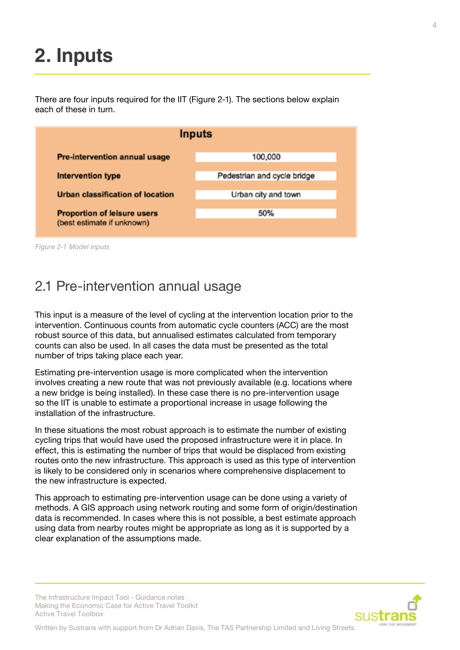# <span id="page-3-0"></span>**2. Inputs**

There are four inputs required for the IIT (Figure 2-1). The sections below explain each of these in turn.



*Figure 2-1 Model inputs*

#### 2.1 Pre-intervention annual usage

This input is a measure of the level of cycling at the intervention location prior to the intervention. Continuous counts from automatic cycle counters (ACC) are the most robust source of this data, but annualised estimates calculated from temporary counts can also be used. In all cases the data must be presented as the total number of trips taking place each year.

Estimating pre-intervention usage is more complicated when the intervention involves creating a new route that was not previously available (e.g. locations where a new bridge is being installed). In these case there is no pre-intervention usage so the IIT is unable to estimate a proportional increase in usage following the installation of the infrastructure.

In these situations the most robust approach is to estimate the number of existing cycling trips that would have used the proposed infrastructure were it in place. In effect, this is estimating the number of trips that would be displaced from existing routes onto the new infrastructure. This approach is used as this type of intervention is likely to be considered only in scenarios where comprehensive displacement to the new infrastructure is expected.

This approach to estimating pre-intervention usage can be done using a variety of methods. A GIS approach using network routing and some form of origin/destination data is recommended. In cases where this is not possible, a best estimate approach using data from nearby routes might be appropriate as long as it is supported by a clear explanation of the assumptions made.

The Infrastructure Impact Tool - Guidance notes Making the Economic Case for Active Travel Toolkit Active Travel Toolbox

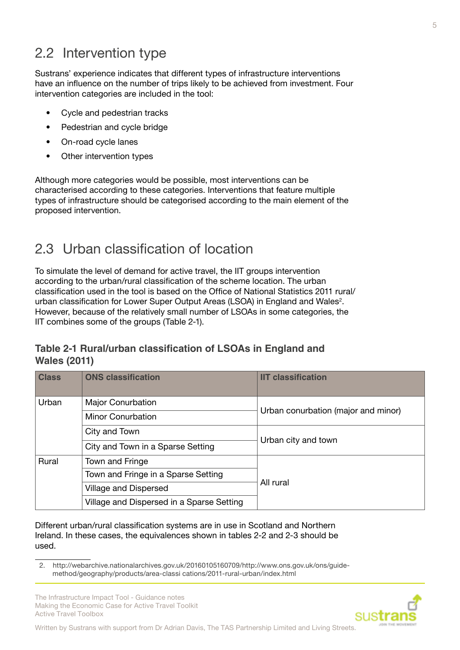### <span id="page-4-0"></span>2.2 Intervention type

Sustrans' experience indicates that different types of infrastructure interventions have an influence on the number of trips likely to be achieved from investment. Four intervention categories are included in the tool:

- Cycle and pedestrian tracks
- Pedestrian and cycle bridge
- On-road cycle lanes
- Other intervention types

Although more categories would be possible, most interventions can be characterised according to these categories. Interventions that feature multiple types of infrastructure should be categorised according to the main element of the proposed intervention.

### 2.3 Urban classification of location

To simulate the level of demand for active travel, the IIT groups intervention according to the urban/rural classification of the scheme location. The urban classification used in the tool is based on the Office of National Statistics 2011 rural/ urban classification for Lower Super Output Areas (LSOA) in England and Wales<sup>2</sup>. However, because of the relatively small number of LSOAs in some categories, the IIT combines some of the groups (Table 2-1).

#### **Table 2-1 Rural/urban classification of LSOAs in England and Wales (2011)**

| <b>Class</b> | <b>ONS classification</b>                 | <b>IIT classification</b>           |  |
|--------------|-------------------------------------------|-------------------------------------|--|
| Urban        | <b>Major Conurbation</b>                  | Urban conurbation (major and minor) |  |
|              | <b>Minor Conurbation</b>                  |                                     |  |
|              | City and Town                             |                                     |  |
|              | City and Town in a Sparse Setting         | Urban city and town                 |  |
| Rural        | Town and Fringe                           | All rural                           |  |
|              | Town and Fringe in a Sparse Setting       |                                     |  |
|              | Village and Dispersed                     |                                     |  |
|              | Village and Dispersed in a Sparse Setting |                                     |  |

Different urban/rural classification systems are in use in Scotland and Northern Ireland. In these cases, the equivalences shown in tables 2-2 and 2-3 should be used.

The Infrastructure Impact Tool - Guidance notes Making the Economic Case for Active Travel Toolkit Active Travel Toolbox



<sup>2.</sup> http://webarchive.nationalarchives.gov.uk/20160105160709/http://www.ons.gov.uk/ons/guidemethod/geography/products/area-classi cations/2011-rural-urban/index.html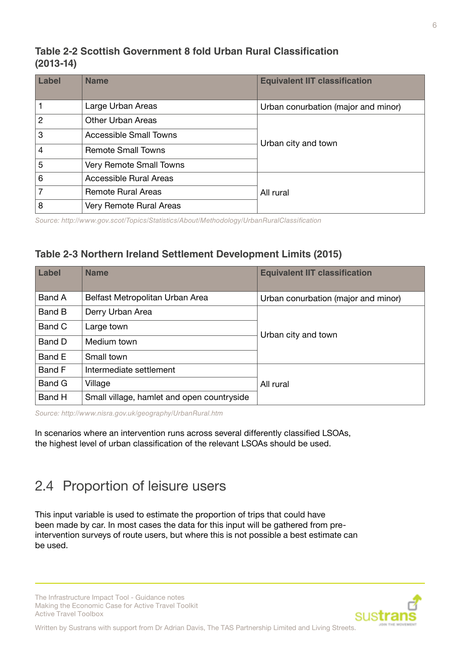#### <span id="page-5-0"></span>**Table 2-2 Scottish Government 8 fold Urban Rural Classification (2013-14)**

| Label          | <b>Name</b>               | <b>Equivalent IIT classification</b> |  |
|----------------|---------------------------|--------------------------------------|--|
|                | Large Urban Areas         | Urban conurbation (major and minor)  |  |
| $\overline{2}$ | <b>Other Urban Areas</b>  |                                      |  |
| 3              | Accessible Small Towns    |                                      |  |
| 4              | <b>Remote Small Towns</b> | Urban city and town                  |  |
| 5              | Very Remote Small Towns   |                                      |  |
| 6              | Accessible Rural Areas    |                                      |  |
| 7              | <b>Remote Rural Areas</b> | All rural                            |  |
| 8              | Very Remote Rural Areas   |                                      |  |

*Source: http://www.gov.scot/Topics/Statistics/About/Methodology/UrbanRuralClassification*

#### **Table 2-3 Northern Ireland Settlement Development Limits (2015)**

| Label         | <b>Name</b>                                | <b>Equivalent IIT classification</b> |  |
|---------------|--------------------------------------------|--------------------------------------|--|
| Band A        | Belfast Metropolitan Urban Area            | Urban conurbation (major and minor)  |  |
| Band B        | Derry Urban Area                           |                                      |  |
| Band C        | Large town                                 |                                      |  |
| Band D        | Medium town                                | Urban city and town                  |  |
| Band E        | Small town                                 |                                      |  |
| <b>Band F</b> | Intermediate settlement                    |                                      |  |
| Band G        | Village                                    | All rural                            |  |
| Band H        | Small village, hamlet and open countryside |                                      |  |

*Source: http://www.nisra.gov.uk/geography/UrbanRural.htm*

In scenarios where an intervention runs across several differently classified LSOAs, the highest level of urban classification of the relevant LSOAs should be used.

### 2.4 Proportion of leisure users

This input variable is used to estimate the proportion of trips that could have been made by car. In most cases the data for this input will be gathered from preintervention surveys of route users, but where this is not possible a best estimate can be used.

The Infrastructure Impact Tool - Guidance notes Making the Economic Case for Active Travel Toolkit Active Travel Toolbox

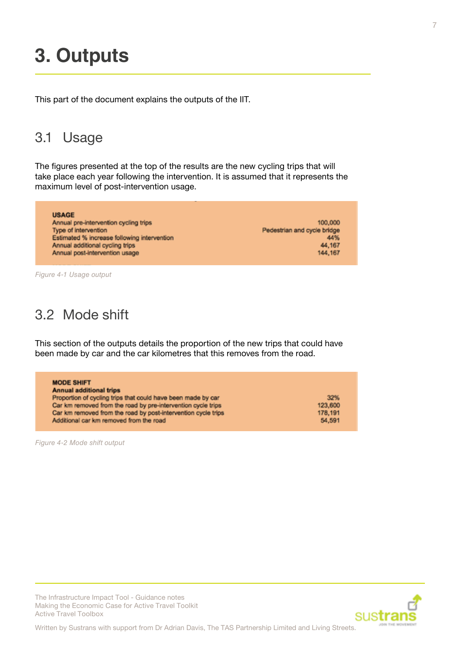### <span id="page-6-0"></span>**3. Outputs**

This part of the document explains the outputs of the IIT.

### 3.1 Usage

The figures presented at the top of the results are the new cycling trips that will take place each year following the intervention. It is assumed that it represents the maximum level of post-intervention usage.

| <b>USAGE</b>                                |                             |
|---------------------------------------------|-----------------------------|
| Annual pre-intervention cycling trips       | 100,000                     |
| Type of intervention                        | Pedestrian and cycle bridge |
| Estimated % increase following intervention | 44%                         |
| Annual additional cycling trips             | 44,167                      |
| Annual post-intervention usage              | 144, 167                    |

*Figure 4-1 Usage output*

### 3.2 Mode shift

This section of the outputs details the proportion of the new trips that could have been made by car and the car kilometres that this removes from the road.

| <b>MODE SHIFT</b>                                             |         |
|---------------------------------------------------------------|---------|
| <b>Annual additional trips</b>                                |         |
| Proportion of cycling trips that could have been made by car  | 32%     |
| Car km removed from the road by pre-intervention cycle trips  | 123,600 |
| Car km removed from the road by post-intervention cycle trips | 178,191 |
| Additional car km removed from the road                       | 54,591  |

*Figure 4-2 Mode shift output*